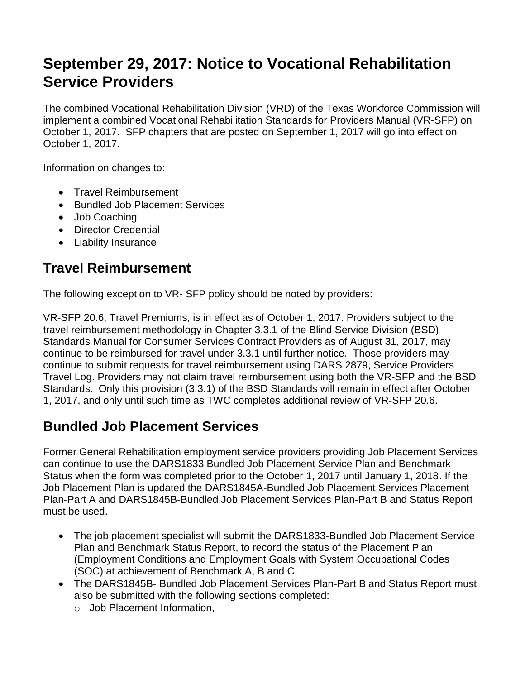# **September 29, 2017: Notice to Vocational Rehabilitation Service Providers**

The combined Vocational Rehabilitation Division (VRD) of the Texas Workforce Commission will implement a combined Vocational Rehabilitation Standards for Providers Manual (VR-SFP) on October 1, 2017. SFP chapters that are posted on September 1, 2017 will go into effect on October 1, 2017.

Information on changes to:

- Travel Reimbursement
- Bundled Job Placement Services
- Job Coaching
- Director Credential
- Liability Insurance

## **Travel Reimbursement**

The following exception to VR- SFP policy should be noted by providers:

VR-SFP 20.6, Travel Premiums, is in effect as of October 1, 2017. Providers subject to the travel reimbursement methodology in Chapter 3.3.1 of the Blind Service Division (BSD) Standards Manual for Consumer Services Contract Providers as of August 31, 2017, may continue to be reimbursed for travel under 3.3.1 until further notice. Those providers may continue to submit requests for travel reimbursement using DARS 2879, Service Providers Travel Log. Providers may not claim travel reimbursement using both the VR-SFP and the BSD Standards. Only this provision (3.3.1) of the BSD Standards will remain in effect after October 1, 2017, and only until such time as TWC completes additional review of VR-SFP 20.6.

#### **Bundled Job Placement Services**

Former General Rehabilitation employment service providers providing Job Placement Services can continue to use the DARS1833 Bundled Job Placement Service Plan and Benchmark Status when the form was completed prior to the October 1, 2017 until January 1, 2018. If the Job Placement Plan is updated the DARS1845A-Bundled Job Placement Services Placement Plan-Part A and DARS1845B-Bundled Job Placement Services Plan-Part B and Status Report must be used.

- The job placement specialist will submit the DARS1833-Bundled Job Placement Service Plan and Benchmark Status Report, to record the status of the Placement Plan (Employment Conditions and Employment Goals with System Occupational Codes (SOC) at achievement of Benchmark A, B and C.
- The DARS1845B- Bundled Job Placement Services Plan-Part B and Status Report must also be submitted with the following sections completed:
	- o Job Placement Information,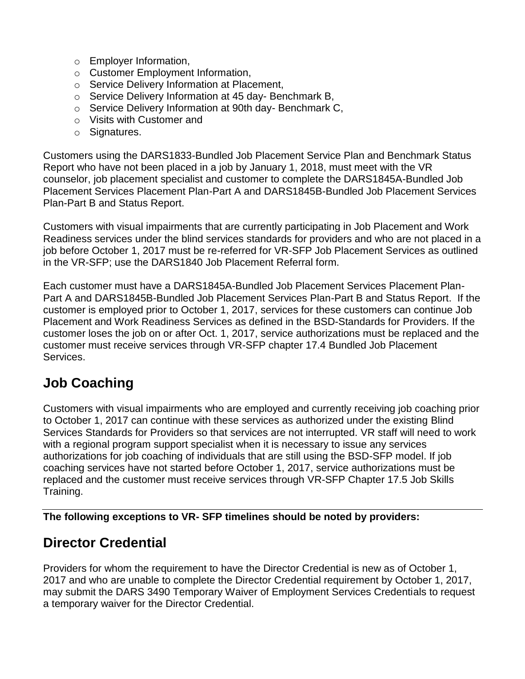- o Employer Information,
- o Customer Employment Information,
- o Service Delivery Information at Placement,
- o Service Delivery Information at 45 day- Benchmark B,
- o Service Delivery Information at 90th day- Benchmark C,
- o Visits with Customer and
- o Signatures.

Customers using the DARS1833-Bundled Job Placement Service Plan and Benchmark Status Report who have not been placed in a job by January 1, 2018, must meet with the VR counselor, job placement specialist and customer to complete the DARS1845A-Bundled Job Placement Services Placement Plan-Part A and DARS1845B-Bundled Job Placement Services Plan-Part B and Status Report.

Customers with visual impairments that are currently participating in Job Placement and Work Readiness services under the blind services standards for providers and who are not placed in a job before October 1, 2017 must be re-referred for VR-SFP Job Placement Services as outlined in the VR-SFP; use the DARS1840 Job Placement Referral form.

Each customer must have a DARS1845A-Bundled Job Placement Services Placement Plan-Part A and DARS1845B-Bundled Job Placement Services Plan-Part B and Status Report. If the customer is employed prior to October 1, 2017, services for these customers can continue Job Placement and Work Readiness Services as defined in the BSD-Standards for Providers. If the customer loses the job on or after Oct. 1, 2017, service authorizations must be replaced and the customer must receive services through VR-SFP chapter 17.4 Bundled Job Placement Services.

## **Job Coaching**

Customers with visual impairments who are employed and currently receiving job coaching prior to October 1, 2017 can continue with these services as authorized under the existing Blind Services Standards for Providers so that services are not interrupted. VR staff will need to work with a regional program support specialist when it is necessary to issue any services authorizations for job coaching of individuals that are still using the BSD-SFP model. If job coaching services have not started before October 1, 2017, service authorizations must be replaced and the customer must receive services through VR-SFP Chapter 17.5 Job Skills Training.

**The following exceptions to VR- SFP timelines should be noted by providers:** 

#### **Director Credential**

Providers for whom the requirement to have the Director Credential is new as of October 1, 2017 and who are unable to complete the Director Credential requirement by October 1, 2017, may submit the DARS 3490 Temporary Waiver of Employment Services Credentials to request a temporary waiver for the Director Credential.